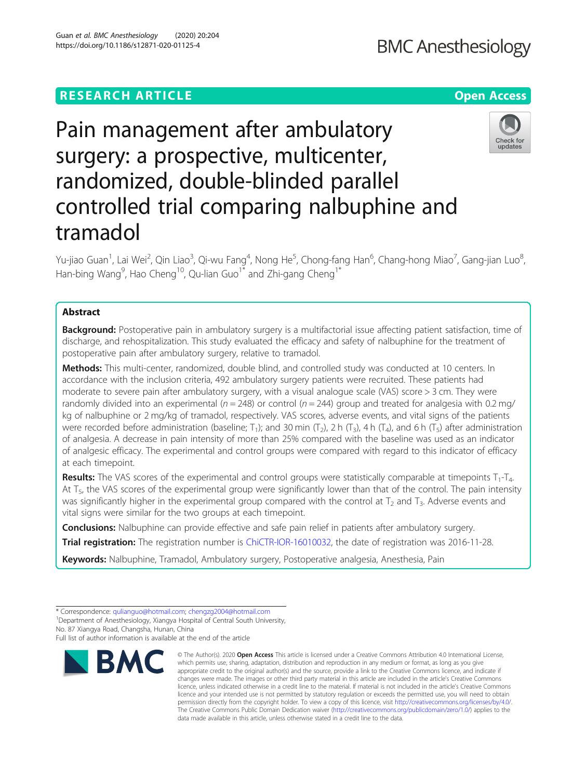## **RESEARCH ARTICLE Example 2014 12:30 The Contract of Contract ACCESS**

# Pain management after ambulatory surgery: a prospective, multicenter, randomized, double-blinded parallel controlled trial comparing nalbuphine and tramadol

Yu-jiao Guan<sup>1</sup>, Lai Wei<sup>2</sup>, Qin Liao<sup>3</sup>, Qi-wu Fang<sup>4</sup>, Nong He<sup>5</sup>, Chong-fang Han<sup>6</sup>, Chang-hong Miao<sup>7</sup>, Gang-jian Luo<sup>8</sup> , Han-bing Wang<sup>9</sup>, Hao Cheng<sup>10</sup>, Qu-lian Guo<sup>1\*</sup> and Zhi-gang Cheng<sup>1\*</sup>

## Abstract

Background: Postoperative pain in ambulatory surgery is a multifactorial issue affecting patient satisfaction, time of discharge, and rehospitalization. This study evaluated the efficacy and safety of nalbuphine for the treatment of postoperative pain after ambulatory surgery, relative to tramadol.

Methods: This multi-center, randomized, double blind, and controlled study was conducted at 10 centers. In accordance with the inclusion criteria, 492 ambulatory surgery patients were recruited. These patients had moderate to severe pain after ambulatory surgery, with a visual analogue scale (VAS) score > 3 cm. They were randomly divided into an experimental ( $n = 248$ ) or control ( $n = 244$ ) group and treated for analgesia with 0.2 mg/ kg of nalbuphine or 2 mg/kg of tramadol, respectively. VAS scores, adverse events, and vital signs of the patients were recorded before administration (baseline; T<sub>1</sub>); and 30 min  $(T_2)$ , 2 h  $(T_3)$ , 4 h  $(T_4)$ , and 6 h  $(T_5)$  after administration of analgesia. A decrease in pain intensity of more than 25% compared with the baseline was used as an indicator of analgesic efficacy. The experimental and control groups were compared with regard to this indicator of efficacy at each timepoint.

**Results:** The VAS scores of the experimental and control groups were statistically comparable at timepoints  $T_1$ -T<sub>4</sub>. At  $T_{5}$ , the VAS scores of the experimental group were significantly lower than that of the control. The pain intensity was significantly higher in the experimental group compared with the control at  $T_2$  and  $T_3$ . Adverse events and vital signs were similar for the two groups at each timepoint.

**Conclusions:** Nalbuphine can provide effective and safe pain relief in patients after ambulatory surgery.

Trial registration: The registration number is [ChiCTR-IOR-16010032](http://www.chictr.org.cn/showproj.aspx?proj=16800), the date of registration was 2016-11-28.

Keywords: Nalbuphine, Tramadol, Ambulatory surgery, Postoperative analgesia, Anesthesia, Pain

<sup>1</sup> Department of Anesthesiology, Xiangya Hospital of Central South University, No. 87 Xiangya Road, Changsha, Hunan, China

Full list of author information is available at the end of the article

**BMC** 

data made available in this article, unless otherwise stated in a credit line to the data.

© The Author(s), 2020 **Open Access** This article is licensed under a Creative Commons Attribution 4.0 International License, which permits use, sharing, adaptation, distribution and reproduction in any medium or format, as long as you give





<sup>\*</sup> Correspondence: [qulianguo@hotmail.com;](mailto:qulianguo@hotmail.com) [chengzg2004@hotmail.com](mailto:chengzg2004@hotmail.com) <sup>1</sup>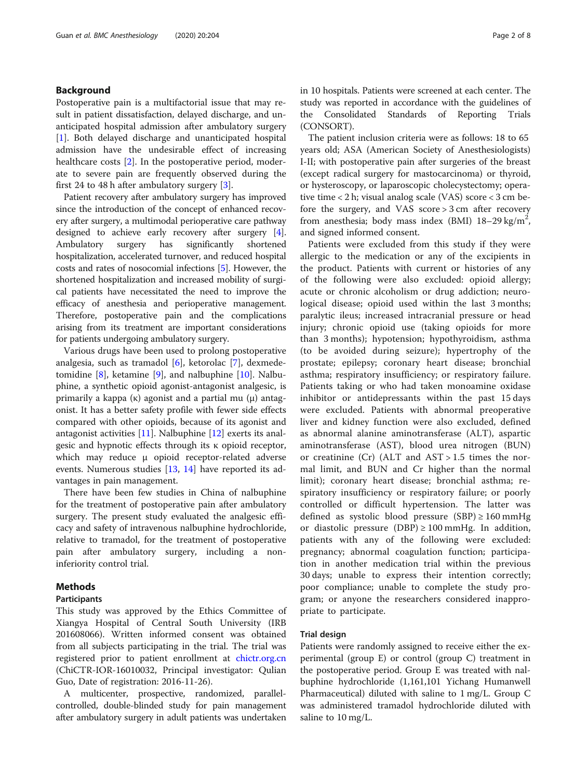## Background

Postoperative pain is a multifactorial issue that may result in patient dissatisfaction, delayed discharge, and unanticipated hospital admission after ambulatory surgery [[1\]](#page-6-0). Both delayed discharge and unanticipated hospital admission have the undesirable effect of increasing healthcare costs [[2\]](#page-6-0). In the postoperative period, moderate to severe pain are frequently observed during the first 24 to 48 h after ambulatory surgery [\[3](#page-6-0)].

Patient recovery after ambulatory surgery has improved since the introduction of the concept of enhanced recovery after surgery, a multimodal perioperative care pathway designed to achieve early recovery after surgery [[4](#page-7-0)]. Ambulatory surgery has significantly shortened hospitalization, accelerated turnover, and reduced hospital costs and rates of nosocomial infections [[5\]](#page-7-0). However, the shortened hospitalization and increased mobility of surgical patients have necessitated the need to improve the efficacy of anesthesia and perioperative management. Therefore, postoperative pain and the complications arising from its treatment are important considerations for patients undergoing ambulatory surgery.

Various drugs have been used to prolong postoperative analgesia, such as tramadol [[6](#page-7-0)], ketorolac [\[7](#page-7-0)], dexmedetomidine [\[8](#page-7-0)], ketamine [\[9](#page-7-0)], and nalbuphine [\[10](#page-7-0)]. Nalbuphine, a synthetic opioid agonist-antagonist analgesic, is primarily a kappa  $(\kappa)$  agonist and a partial mu  $(\mu)$  antagonist. It has a better safety profile with fewer side effects compared with other opioids, because of its agonist and antagonist activities [\[11](#page-7-0)]. Nalbuphine [[12\]](#page-7-0) exerts its analgesic and hypnotic effects through its κ opioid receptor, which may reduce μ opioid receptor-related adverse events. Numerous studies [\[13](#page-7-0), [14](#page-7-0)] have reported its advantages in pain management.

There have been few studies in China of nalbuphine for the treatment of postoperative pain after ambulatory surgery. The present study evaluated the analgesic efficacy and safety of intravenous nalbuphine hydrochloride, relative to tramadol, for the treatment of postoperative pain after ambulatory surgery, including a noninferiority control trial.

## Methods

## Participants

This study was approved by the Ethics Committee of Xiangya Hospital of Central South University (IRB 201608066). Written informed consent was obtained from all subjects participating in the trial. The trial was registered prior to patient enrollment at [chictr.org.cn](http://chictr.org.cn) (ChiCTR-IOR-16010032, Principal investigator: Qulian Guo, Date of registration: 2016-11-26).

A multicenter, prospective, randomized, parallelcontrolled, double-blinded study for pain management after ambulatory surgery in adult patients was undertaken in 10 hospitals. Patients were screened at each center. The study was reported in accordance with the guidelines of the Consolidated Standards of Reporting Trials (CONSORT).

The patient inclusion criteria were as follows: 18 to 65 years old; ASA (American Society of Anesthesiologists) I-II; with postoperative pain after surgeries of the breast (except radical surgery for mastocarcinoma) or thyroid, or hysteroscopy, or laparoscopic cholecystectomy; operative time < 2 h; visual analog scale (VAS) score < 3 cm before the surgery, and VAS score > 3 cm after recovery from anesthesia; body mass index (BMI)  $18-29$  kg/m<sup>2</sup>, and signed informed consent.

Patients were excluded from this study if they were allergic to the medication or any of the excipients in the product. Patients with current or histories of any of the following were also excluded: opioid allergy; acute or chronic alcoholism or drug addiction; neurological disease; opioid used within the last 3 months; paralytic ileus; increased intracranial pressure or head injury; chronic opioid use (taking opioids for more than 3 months); hypotension; hypothyroidism, asthma (to be avoided during seizure); hypertrophy of the prostate; epilepsy; coronary heart disease; bronchial asthma; respiratory insufficiency; or respiratory failure. Patients taking or who had taken monoamine oxidase inhibitor or antidepressants within the past 15 days were excluded. Patients with abnormal preoperative liver and kidney function were also excluded, defined as abnormal alanine aminotransferase (ALT), aspartic aminotransferase (AST), blood urea nitrogen (BUN) or creatinine (Cr) (ALT and  $AST > 1.5$  times the normal limit, and BUN and Cr higher than the normal limit); coronary heart disease; bronchial asthma; respiratory insufficiency or respiratory failure; or poorly controlled or difficult hypertension. The latter was defined as systolic blood pressure  $(SBP) \ge 160$  mmHg or diastolic pressure  $(DBP) \ge 100$  mmHg. In addition, patients with any of the following were excluded: pregnancy; abnormal coagulation function; participation in another medication trial within the previous 30 days; unable to express their intention correctly; poor compliance; unable to complete the study program; or anyone the researchers considered inappropriate to participate.

#### Trial design

Patients were randomly assigned to receive either the experimental (group E) or control (group C) treatment in the postoperative period. Group E was treated with nalbuphine hydrochloride (1,161,101 Yichang Humanwell Pharmaceutical) diluted with saline to 1 mg/L. Group C was administered tramadol hydrochloride diluted with saline to 10 mg/L.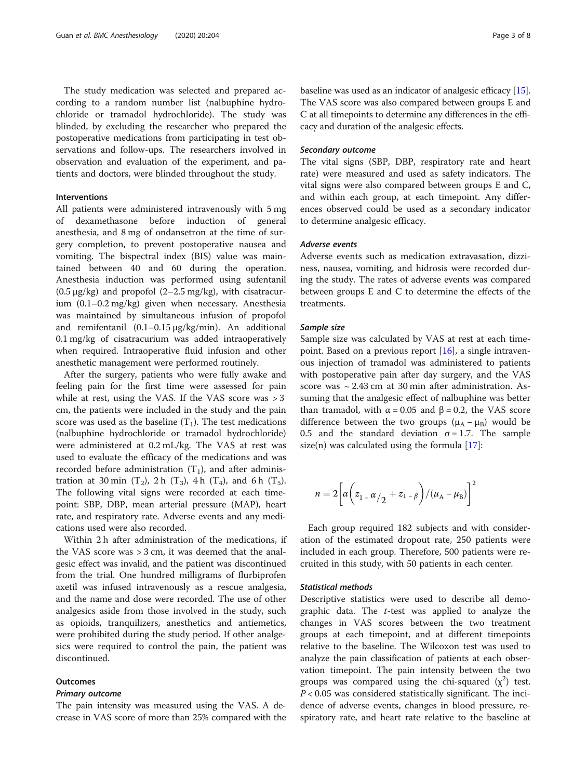The study medication was selected and prepared according to a random number list (nalbuphine hydrochloride or tramadol hydrochloride). The study was blinded, by excluding the researcher who prepared the postoperative medications from participating in test observations and follow-ups. The researchers involved in observation and evaluation of the experiment, and patients and doctors, were blinded throughout the study.

## Interventions

All patients were administered intravenously with 5 mg of dexamethasone before induction of general anesthesia, and 8 mg of ondansetron at the time of surgery completion, to prevent postoperative nausea and vomiting. The bispectral index (BIS) value was maintained between 40 and 60 during the operation. Anesthesia induction was performed using sufentanil (0.5 μg/kg) and propofol (2–2.5 mg/kg), with cisatracurium (0.1–0.2 mg/kg) given when necessary. Anesthesia was maintained by simultaneous infusion of propofol and remifentanil (0.1–0.15 μg/kg/min). An additional 0.1 mg/kg of cisatracurium was added intraoperatively when required. Intraoperative fluid infusion and other anesthetic management were performed routinely.

After the surgery, patients who were fully awake and feeling pain for the first time were assessed for pain while at rest, using the VAS. If the VAS score was > 3 cm, the patients were included in the study and the pain score was used as the baseline  $(T_1)$ . The test medications (nalbuphine hydrochloride or tramadol hydrochloride) were administered at 0.2 mL/kg. The VAS at rest was used to evaluate the efficacy of the medications and was recorded before administration  $(T_1)$ , and after administration at 30 min (T<sub>2</sub>), 2 h (T<sub>3</sub>), 4 h (T<sub>4</sub>), and 6 h (T<sub>5</sub>). The following vital signs were recorded at each timepoint: SBP, DBP, mean arterial pressure (MAP), heart rate, and respiratory rate. Adverse events and any medications used were also recorded.

Within 2 h after administration of the medications, if the VAS score was > 3 cm, it was deemed that the analgesic effect was invalid, and the patient was discontinued from the trial. One hundred milligrams of flurbiprofen axetil was infused intravenously as a rescue analgesia, and the name and dose were recorded. The use of other analgesics aside from those involved in the study, such as opioids, tranquilizers, anesthetics and antiemetics, were prohibited during the study period. If other analgesics were required to control the pain, the patient was discontinued.

#### **Outcomes**

#### Primary outcome

The pain intensity was measured using the VAS. A decrease in VAS score of more than 25% compared with the baseline was used as an indicator of analgesic efficacy [[15](#page-7-0)]. The VAS score was also compared between groups E and C at all timepoints to determine any differences in the efficacy and duration of the analgesic effects.

## Secondary outcome

The vital signs (SBP, DBP, respiratory rate and heart rate) were measured and used as safety indicators. The vital signs were also compared between groups E and C, and within each group, at each timepoint. Any differences observed could be used as a secondary indicator to determine analgesic efficacy.

#### Adverse events

Adverse events such as medication extravasation, dizziness, nausea, vomiting, and hidrosis were recorded during the study. The rates of adverse events was compared between groups E and C to determine the effects of the treatments.

#### Sample size

Sample size was calculated by VAS at rest at each timepoint. Based on a previous report  $[16]$  $[16]$ , a single intravenous injection of tramadol was administered to patients with postoperative pain after day surgery, and the VAS score was  $\sim$  2.43 cm at 30 min after administration. Assuming that the analgesic effect of nalbuphine was better than tramadol, with  $\alpha$  = 0.05 and  $\beta$  = 0.2, the VAS score difference between the two groups ( $\mu_A - \mu_B$ ) would be 0.5 and the standard deviation  $\sigma = 1.7$ . The sample size(n) was calculated using the formula  $[17]$  $[17]$ :

$$
n = 2\left[\alpha\left(z_{1} - \alpha/2 + z_{1} - \beta\right) / (\mu_{A} - \mu_{B})\right]^{2}
$$

Each group required 182 subjects and with consideration of the estimated dropout rate, 250 patients were included in each group. Therefore, 500 patients were recruited in this study, with 50 patients in each center.

## Statistical methods

Descriptive statistics were used to describe all demographic data. The  $t$ -test was applied to analyze the changes in VAS scores between the two treatment groups at each timepoint, and at different timepoints relative to the baseline. The Wilcoxon test was used to analyze the pain classification of patients at each observation timepoint. The pain intensity between the two groups was compared using the chi-squared  $(\chi^2)$  test.  $P < 0.05$  was considered statistically significant. The incidence of adverse events, changes in blood pressure, respiratory rate, and heart rate relative to the baseline at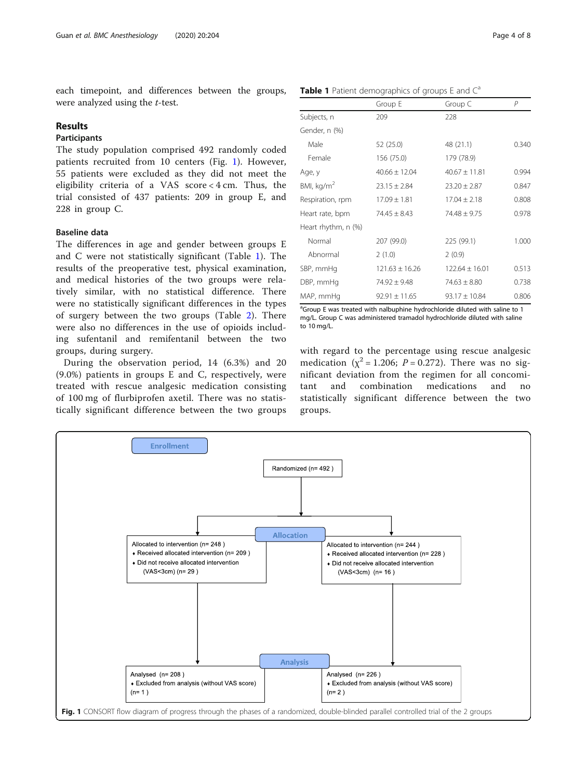each timepoint, and differences between the groups, were analyzed using the *t*-test.

## Results

## **Participants**

The study population comprised 492 randomly coded patients recruited from 10 centers (Fig. 1). However, 55 patients were excluded as they did not meet the eligibility criteria of a VAS score < 4 cm. Thus, the trial consisted of 437 patients: 209 in group E, and 228 in group C.

## Baseline data

The differences in age and gender between groups E and C were not statistically significant (Table 1). The results of the preoperative test, physical examination, and medical histories of the two groups were relatively similar, with no statistical difference. There were no statistically significant differences in the types of surgery between the two groups (Table [2](#page-4-0)). There were also no differences in the use of opioids including sufentanil and remifentanil between the two groups, during surgery.

During the observation period, 14 (6.3%) and 20 (9.0%) patients in groups E and C, respectively, were treated with rescue analgesic medication consisting of 100 mg of flurbiprofen axetil. There was no statistically significant difference between the two groups

**Table 1** Patient demographics of groups  $E$  and  $C^a$ 

|                        | Group E            | Group C            | Р     |
|------------------------|--------------------|--------------------|-------|
| Subjects, n            | 209                | 228                |       |
| Gender, n (%)          |                    |                    |       |
| Male                   | 52 (25.0)          | 48 (21.1)          | 0.340 |
| Female                 | 156 (75.0)         | 179 (78.9)         |       |
| Age, y                 | $40.66 \pm 12.04$  | $40.67 \pm 11.81$  | 0.994 |
| BMI, kg/m <sup>2</sup> | $23.15 \pm 2.84$   | $23.20 \pm 2.87$   | 0.847 |
| Respiration, rpm       | $17.09 \pm 1.81$   | $17.04 \pm 2.18$   | 0.808 |
| Heart rate, bpm        | $74.45 \pm 8.43$   | $74.48 + 9.75$     | 0.978 |
| Heart rhythm, n (%)    |                    |                    |       |
| Normal                 | 207 (99.0)         | 225 (99.1)         | 1.000 |
| Abnormal               | 2(1.0)             | 2(0.9)             |       |
| SBP, mmHg              | $121.63 \pm 16.26$ | $122.64 \pm 16.01$ | 0.513 |
| DBP, mmHg              | $74.92 \pm 9.48$   | $74.63 \pm 8.80$   | 0.738 |
| MAP, mmHg              | $92.91 \pm 11.65$  | $93.17 \pm 10.84$  | 0.806 |

<sup>a</sup>Group E was treated with nalbuphine hydrochloride diluted with saline to 1 mg/L. Group C was administered tramadol hydrochloride diluted with saline to 10 mg/L.

with regard to the percentage using rescue analgesic medication ( $\chi^2$  = 1.206; P = 0.272). There was no significant deviation from the regimen for all concomitant and combination medications and no statistically significant difference between the two groups.

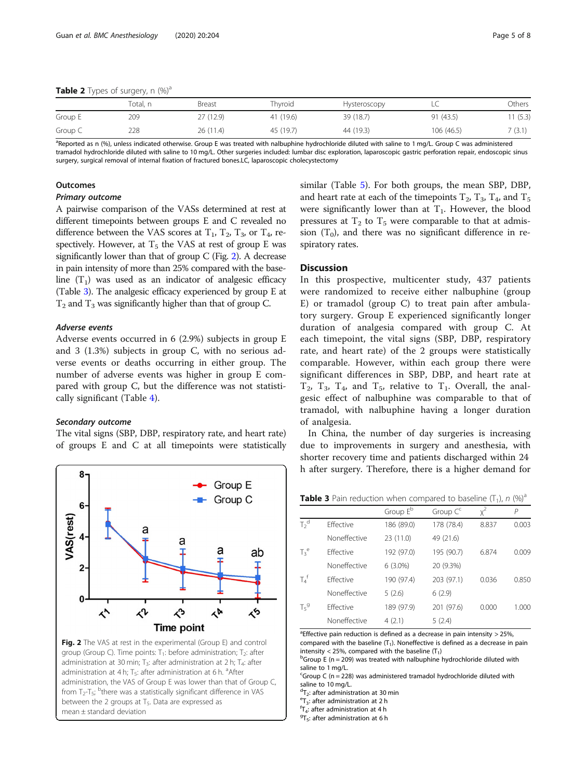<span id="page-4-0"></span>

|         | Total, n | Breast    | Thyroid   | Hysteroscopy | LU.       | Others |
|---------|----------|-----------|-----------|--------------|-----------|--------|
| Group E | 209      | 27 (12.9) | 41 (19.6) | 39 (18.7)    | 91 (43.5) | 1(5.3) |
| Group C | 228      | 26 (11.4) | 45 (19.7) | 44 (19.3)    | 106(46.5) | 7(3.1) |

<sup>a</sup>Reported as n (%), unless indicated otherwise. Group E was treated with nalbuphine hydrochloride diluted with saline to 1 mg/L. Group C was administered tramadol hydrochloride diluted with saline to 10 mg/L. Other surgeries included: lumbar disc exploration, laparoscopic gastric perforation repair, endoscopic sinus surgery, surgical removal of internal fixation of fractured bones.LC, laparoscopic cholecystectomy

#### **Outcomes**

## Primary outcome

A pairwise comparison of the VASs determined at rest at different timepoints between groups E and C revealed no difference between the VAS scores at  $T_1$ ,  $T_2$ ,  $T_3$ , or  $T_4$ , respectively. However, at  $T_5$  the VAS at rest of group E was significantly lower than that of group C (Fig. 2). A decrease in pain intensity of more than 25% compared with the baseline  $(T_1)$  was used as an indicator of analgesic efficacy (Table 3). The analgesic efficacy experienced by group E at  $T_2$  and  $T_3$  was significantly higher than that of group C.

## Adverse events

Adverse events occurred in 6 (2.9%) subjects in group E and 3 (1.3%) subjects in group C, with no serious adverse events or deaths occurring in either group. The number of adverse events was higher in group E compared with group C, but the difference was not statistically significant (Table [4\)](#page-5-0).

#### Secondary outcome

The vital signs (SBP, DBP, respiratory rate, and heart rate) of groups E and C at all timepoints were statistically



group (Group C). Time points:  $T_1$ : before administration;  $T_2$ : after administration at 30 min;  $T_3$ : after administration at 2 h;  $T_4$ : after administration at 4 h; T<sub>5</sub>: after administration at 6 h. <sup>a</sup>After administration, the VAS of Group E was lower than that of Group C, from  $T_2$ -T<sub>5</sub>; <sup>b</sup>there was a statistically significant difference in VAS between the 2 groups at  $T<sub>5</sub>$ . Data are expressed as mean ± standard deviation

similar (Table [5](#page-5-0)). For both groups, the mean SBP, DBP, and heart rate at each of the timepoints  $T_2$ ,  $T_3$ ,  $T_4$ , and  $T_5$ were significantly lower than at  $T_1$ . However, the blood pressures at  $T_2$  to  $T_5$  were comparable to that at admission  $(T_0)$ , and there was no significant difference in respiratory rates.

## **Discussion**

In this prospective, multicenter study, 437 patients were randomized to receive either nalbuphine (group E) or tramadol (group C) to treat pain after ambulatory surgery. Group E experienced significantly longer duration of analgesia compared with group C. At each timepoint, the vital signs (SBP, DBP, respiratory rate, and heart rate) of the 2 groups were statistically comparable. However, within each group there were significant differences in SBP, DBP, and heart rate at  $T_2$ ,  $T_3$ ,  $T_4$ , and  $T_5$ , relative to  $T_1$ . Overall, the analgesic effect of nalbuphine was comparable to that of tramadol, with nalbuphine having a longer duration of analgesia.

In China, the number of day surgeries is increasing due to improvements in surgery and anesthesia, with shorter recovery time and patients discharged within 24 h after surgery. Therefore, there is a higher demand for

**Table 3** Pain reduction when compared to baseline  $(T_1)$ , n  $(\%)^a$ 

|                   |                  | Group E <sup>b</sup> | Group C <sup>c</sup> | $x^2$ | Р     |
|-------------------|------------------|----------------------|----------------------|-------|-------|
| $T2$ <sup>d</sup> | <b>Fffective</b> | 186 (89.0)           | 178 (78.4)           | 8.837 | 0.003 |
|                   | Noneffective     | 23 (11.0)            | 49 (21.6)            |       |       |
| $T_3^e$           | <b>Fffective</b> | 192 (97.0)           | 195 (90.7)           | 6.874 | 0.009 |
|                   | Noneffective     | $6(3.0\%)$           | 20 (9.3%)            |       |       |
| $T_4^f$           | <b>Fffective</b> | 190 (97.4)           | 203 (97.1)           | 0.036 | 0.850 |
|                   | Noneffective     | 5(2.6)               | 6(2.9)               |       |       |
| $T_5^9$           | <b>Fffective</b> | 189 (97.9)           | 201 (97.6)           | 0.000 | 1.000 |
|                   | Noneffective     | 4(2.1)               | 5(2.4)               |       |       |

<sup>a</sup> Effective pain reduction is defined as a decrease in pain intensity  $>$  25%, compared with the baseline  $(T_1)$ . Noneffective is defined as a decrease in pain intensity < 25%, compared with the baseline  $(T_1)$ 

 $^{b}$ Group E (n = 209) was treated with nalbuphine hydrochloride diluted with saline to 1 mg/L.

 $c$ Group C (n = 228) was administered tramadol hydrochloride diluted with saline to 10 mg/L.

 ${}^{d}T_{2}$ : after administration at 30 min<br> ${}^{e}T$  : after administration at 3 h

 $\text{F}_3$ : after administration at 2 h

 ${}^{\text{f}}$ T<sub>4</sub>: after administration at 4 h

 $9T_5$ : after administration at 6 h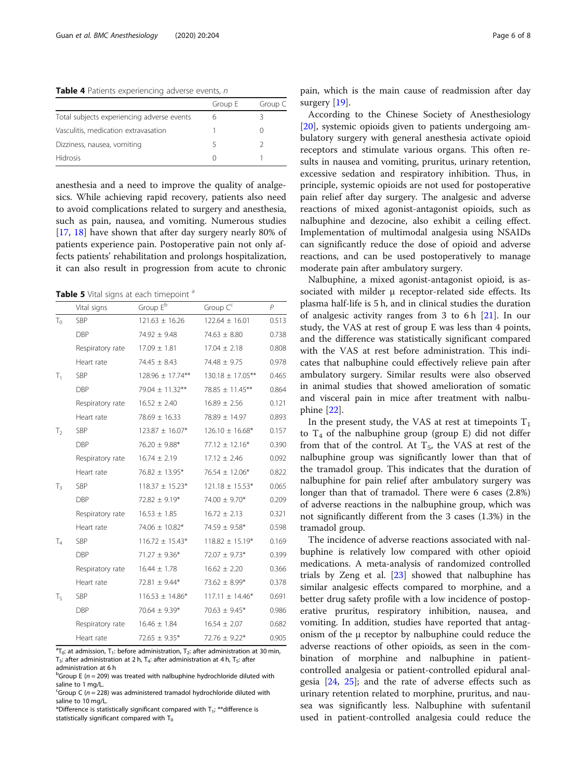<span id="page-5-0"></span>Table 4 Patients experiencing adverse events, n

|                                            | Group E | Group C |
|--------------------------------------------|---------|---------|
| Total subjects experiencing adverse events | h       |         |
| Vasculitis, medication extravasation       |         |         |
| Dizziness, nausea, vomiting                |         |         |
| <b>Hidrosis</b>                            |         |         |

anesthesia and a need to improve the quality of analgesics. While achieving rapid recovery, patients also need to avoid complications related to surgery and anesthesia, such as pain, nausea, and vomiting. Numerous studies [[17,](#page-7-0) [18\]](#page-7-0) have shown that after day surgery nearly 80% of patients experience pain. Postoperative pain not only affects patients' rehabilitation and prolongs hospitalization, it can also result in progression from acute to chronic

Table 5 Vital signs at each timepoint <sup>a</sup>

|                | Vital signs      | Group E <sup>b</sup> | Group Cc             | $\overline{P}$ |
|----------------|------------------|----------------------|----------------------|----------------|
| $T_0$          | <b>SBP</b>       | $121.63 \pm 16.26$   | $122.64 \pm 16.01$   | 0.513          |
|                | <b>DBP</b>       | $74.92 \pm 9.48$     | $74.63 \pm 8.80$     | 0.738          |
|                | Respiratory rate | $17.09 \pm 1.81$     | $17.04 \pm 2.18$     | 0.808          |
|                | Heart rate       | $74.45 \pm 8.43$     | $74.48 \pm 9.75$     | 0.978          |
| $T_1$          | <b>SBP</b>       | 128.96 ± 17.74**     | 130.18 ± 17.05**     | 0.465          |
|                | DBP              | $79.04 \pm 11.32***$ | $78.85 \pm 11.45***$ | 0.864          |
|                | Respiratory rate | $16.52 \pm 2.40$     | $16.89 \pm 2.56$     | 0.121          |
|                | Heart rate       | $78.69 \pm 16.33$    | 78.89 ± 14.97        | 0.893          |
| T <sub>2</sub> | SBP              | $123.87 \pm 16.07*$  | $126.10 \pm 16.68*$  | 0.157          |
|                | <b>DBP</b>       | $76.20 \pm 9.88*$    | $77.12 \pm 12.16*$   | 0.390          |
|                | Respiratory rate | $16.74 \pm 2.19$     | $17.12 \pm 2.46$     | 0.092          |
|                | Heart rate       | $76.82 \pm 13.95*$   | $76.54 \pm 12.06*$   | 0.822          |
| $T_3$          | SBP              | $118.37 \pm 15.23*$  | $121.18 \pm 15.53*$  | 0.065          |
|                | <b>DBP</b>       | $72.82 \pm 9.19*$    | $74.00 \pm 9.70*$    | 0.209          |
|                | Respiratory rate | $16.53 \pm 1.85$     | $16.72 \pm 2.13$     | 0.321          |
|                | Heart rate       | $74.06 \pm 10.82*$   | $74.59 \pm 9.58$ *   | 0.598          |
| T <sub>4</sub> | <b>SBP</b>       | $116.72 \pm 15.43*$  | $118.82 \pm 15.19*$  | 0.169          |
|                | <b>DBP</b>       | $71.27 \pm 9.36*$    | $72.07 \pm 9.73*$    | 0.399          |
|                | Respiratory rate | $16.44 \pm 1.78$     | $16.62 \pm 2.20$     | 0.366          |
|                | Heart rate       | 72.81 $\pm$ 9.44*    | $73.62 \pm 8.99*$    | 0.378          |
| $T_{5}$        | SBP              | $116.53 \pm 14.86*$  | $117.11 \pm 14.46*$  | 0.691          |
|                | DBP              | $70.64 \pm 9.39*$    | $70.63 \pm 9.45^*$   | 0.986          |
|                | Respiratory rate | $16.46 \pm 1.84$     | $16.54 \pm 2.07$     | 0.682          |
|                | Heart rate       | $72.65 \pm 9.35*$    | $72.76 \pm 9.22*$    | 0.905          |

 ${}^{a}T_{0}$ : at admission,  $T_{1}$ : before administration,  $T_{2}$ : after administration at 30 min, T<sub>3</sub>: after administration at 2 h, T<sub>4</sub>: after administration at 4 h, T<sub>5</sub>: after administration at 6 h

 $b$ Group E (n = 209) was treated with nalbuphine hydrochloride diluted with<br>saline to 1 mg/l saline to 1 mg/L.

\*Difference is statistically significant compared with  $T_1$ ; \*\*difference is statistically significant compared with  $T_0$ 

pain, which is the main cause of readmission after day surgery [[19\]](#page-7-0).

According to the Chinese Society of Anesthesiology [[20\]](#page-7-0), systemic opioids given to patients undergoing ambulatory surgery with general anesthesia activate opioid receptors and stimulate various organs. This often results in nausea and vomiting, pruritus, urinary retention, excessive sedation and respiratory inhibition. Thus, in principle, systemic opioids are not used for postoperative pain relief after day surgery. The analgesic and adverse reactions of mixed agonist-antagonist opioids, such as nalbuphine and dezocine, also exhibit a ceiling effect. Implementation of multimodal analgesia using NSAIDs can significantly reduce the dose of opioid and adverse reactions, and can be used postoperatively to manage moderate pain after ambulatory surgery.

Nalbuphine, a mixed agonist-antagonist opioid, is associated with milder μ receptor-related side effects. Its plasma half-life is 5 h, and in clinical studies the duration of analgesic activity ranges from 3 to 6 h  $[21]$ . In our study, the VAS at rest of group E was less than 4 points, and the difference was statistically significant compared with the VAS at rest before administration. This indicates that nalbuphine could effectively relieve pain after ambulatory surgery. Similar results were also observed in animal studies that showed amelioration of somatic and visceral pain in mice after treatment with nalbuphine [[22\]](#page-7-0).

In the present study, the VAS at rest at timepoints  $T_1$ to  $T_4$  of the nalbuphine group (group E) did not differ from that of the control. At  $T_5$ , the VAS at rest of the nalbuphine group was significantly lower than that of the tramadol group. This indicates that the duration of nalbuphine for pain relief after ambulatory surgery was longer than that of tramadol. There were 6 cases (2.8%) of adverse reactions in the nalbuphine group, which was not significantly different from the 3 cases (1.3%) in the tramadol group.

The incidence of adverse reactions associated with nalbuphine is relatively low compared with other opioid medications. A meta-analysis of randomized controlled trials by Zeng et al. [[23\]](#page-7-0) showed that nalbuphine has similar analgesic effects compared to morphine, and a better drug safety profile with a low incidence of postoperative pruritus, respiratory inhibition, nausea, and vomiting. In addition, studies have reported that antagonism of the μ receptor by nalbuphine could reduce the adverse reactions of other opioids, as seen in the combination of morphine and nalbuphine in patientcontrolled analgesia or patient-controlled epidural analgesia [[24](#page-7-0), [25](#page-7-0)]; and the rate of adverse effects such as urinary retention related to morphine, pruritus, and nausea was significantly less. Nalbuphine with sufentanil used in patient-controlled analgesia could reduce the

<sup>&</sup>lt;sup>c</sup>Group C ( $n = 228$ ) was administered tramadol hydrochloride diluted with saline to  $10 \text{ mm/h}$ saline to 10 mg/L.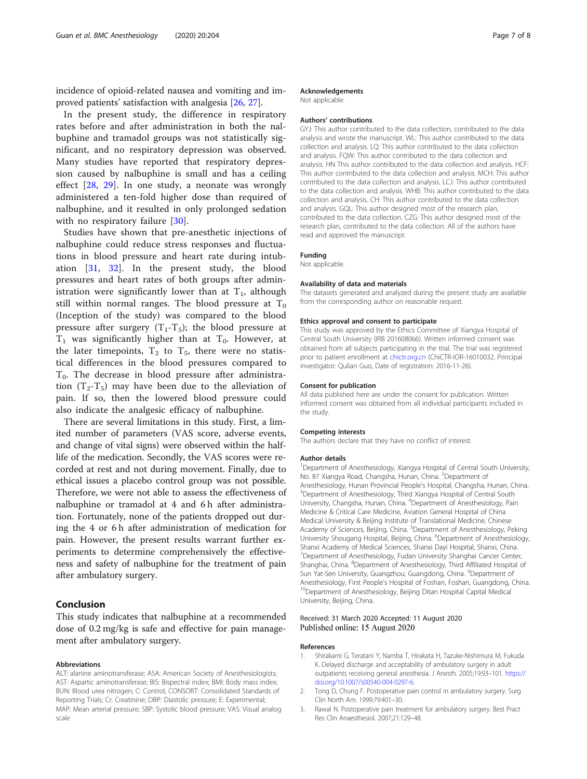<span id="page-6-0"></span>incidence of opioid-related nausea and vomiting and improved patients' satisfaction with analgesia [[26,](#page-7-0) [27\]](#page-7-0).

In the present study, the difference in respiratory rates before and after administration in both the nalbuphine and tramadol groups was not statistically significant, and no respiratory depression was observed. Many studies have reported that respiratory depression caused by nalbuphine is small and has a ceiling effect [[28,](#page-7-0) [29\]](#page-7-0). In one study, a neonate was wrongly administered a ten-fold higher dose than required of nalbuphine, and it resulted in only prolonged sedation with no respiratory failure [[30](#page-7-0)].

Studies have shown that pre-anesthetic injections of nalbuphine could reduce stress responses and fluctuations in blood pressure and heart rate during intubation [[31,](#page-7-0) [32](#page-7-0)]. In the present study, the blood pressures and heart rates of both groups after administration were significantly lower than at  $T_1$ , although still within normal ranges. The blood pressure at  $T_0$ (Inception of the study) was compared to the blood pressure after surgery  $(T_1-T_5)$ ; the blood pressure at  $T_1$  was significantly higher than at  $T_0$ . However, at the later timepoints,  $T_2$  to  $T_5$ , there were no statistical differences in the blood pressures compared to  $T<sub>0</sub>$ . The decrease in blood pressure after administration  $(T_2-T_5)$  may have been due to the alleviation of pain. If so, then the lowered blood pressure could also indicate the analgesic efficacy of nalbuphine.

There are several limitations in this study. First, a limited number of parameters (VAS score, adverse events, and change of vital signs) were observed within the halflife of the medication. Secondly, the VAS scores were recorded at rest and not during movement. Finally, due to ethical issues a placebo control group was not possible. Therefore, we were not able to assess the effectiveness of nalbuphine or tramadol at 4 and 6 h after administration. Fortunately, none of the patients dropped out during the 4 or 6 h after administration of medication for pain. However, the present results warrant further experiments to determine comprehensively the effectiveness and safety of nalbuphine for the treatment of pain after ambulatory surgery.

## Conclusion

This study indicates that nalbuphine at a recommended dose of 0.2 mg/kg is safe and effective for pain management after ambulatory surgery.

#### Abbreviations

ALT: alanine aminotransferase; ASA: American Society of Anesthesiologists; AST: Aspartic aminotransferase; BIS: Bispectral index; BMI: Body mass index; BUN: Blood urea nitrogen; C: Control; CONSORT: Consolidated Standards of Reporting Trials; Cr: Creatinine; DBP: Diastolic pressure; E: Experimental; MAP: Mean arterial pressure; SBP: Systolic blood pressure; VAS: Visual analog scale

#### Acknowledgements

Not applicable.

#### Authors' contributions

GYJ: This author contributed to the data collection, contributed to the data analysis and wrote the manuscript. WL: This author contributed to the data collection and analysis. LQ: This author contributed to the data collection and analysis. FQW: This author contributed to the data collection and analysis. HN This author contributed to the data collection and analysis. HCF: This author contributed to the data collection and analysis. MCH: This author contributed to the data collection and analysis. LCJ: This author contributed to the data collection and analysis. WHB: This author contributed to the data collection and analysis. CH: This author contributed to the data collection and analysis. GQL: This author designed most of the research plan, contributed to the data collection. CZG: This author designed most of the research plan, contributed to the data collection. All of the authors have read and approved the manuscript.

## Funding

Not applicable.

#### Availability of data and materials

The datasets generated and analyzed during the present study are available from the corresponding author on reasonable request.

#### Ethics approval and consent to participate

This study was approved by the Ethics Committee of Xiangya Hospital of Central South University (IRB 201608066). Written informed consent was obtained from all subjects participating in the trial. The trial was registered prior to patient enrollment at [chictr.org.cn](http://chictr.org.cn) (ChiCTR-IOR-16010032, Principal investigator: Qulian Guo, Date of registration: 2016-11-26).

#### Consent for publication

All data published here are under the consent for publication. Written informed consent was obtained from all individual participants included in the study.

#### Competing interests

The authors declare that they have no conflict of interest.

#### Author details

<sup>1</sup>Department of Anesthesiology, Xiangya Hospital of Central South University No. 87 Xiangya Road, Changsha, Hunan, China. <sup>2</sup>Department of Anesthesiology, Hunan Provincial People's Hospital, Changsha, Hunan, China. <sup>3</sup> <sup>3</sup>Department of Anesthesiology, Third Xiangya Hospital of Central South University, Changsha, Hunan, China. <sup>4</sup>Department of Anesthesiology, Pain Medicine & Critical Care Medicine, Aviation General Hospital of China Medical University & Beijing Institute of Translational Medicine, Chinese Academy of Sciences, Beijing, China. <sup>5</sup>Department of Anesthesiology, Peking University Shougang Hospital, Beijing, China. <sup>6</sup>Department of Anesthesiology, Shanxi Academy of Medical Sciences, Shanxi Dayi Hospital, Shanxi, China. 7 Department of Anesthesiology, Fudan University Shanghai Cancer Center, Shanghai, China. <sup>8</sup>Department of Anesthesiology, Third Affiliated Hospital of Sun Yat-Sen University, Guangzhou, Guangdong, China. <sup>9</sup>Department of Anesthesiology, First People's Hospital of Foshan, Foshan, Guangdong, China.<br><sup>10</sup>Department of Anesthesiology, Beijing Ditan Hospital Capital Medical University, Beijing, China.

## Received: 31 March 2020 Accepted: 11 August 2020 Published online: 15 August 2020

#### References

- 1. Shirakami G, Teratani Y, Namba T, Hirakata H, Tazuke-Nishimura M, Fukuda K. Delayed discharge and acceptability of ambulatory surgery in adult outpatients receiving general anesthesia. J Anesth. 2005;19:93–101. [https://](https://doi.org/10.1007/s00540-004-0297-6) [doi.org/10.1007/s00540-004-0297-6.](https://doi.org/10.1007/s00540-004-0297-6)
- 2. Tong D, Chung F. Postoperative pain control in ambulatory surgery. Surg Clin North Am. 1999;79:401–30.
- 3. Rawal N. Postoperative pain treatment for ambulatory surgery. Best Pract Res Clin Anaesthesiol. 2007;21:129–48.